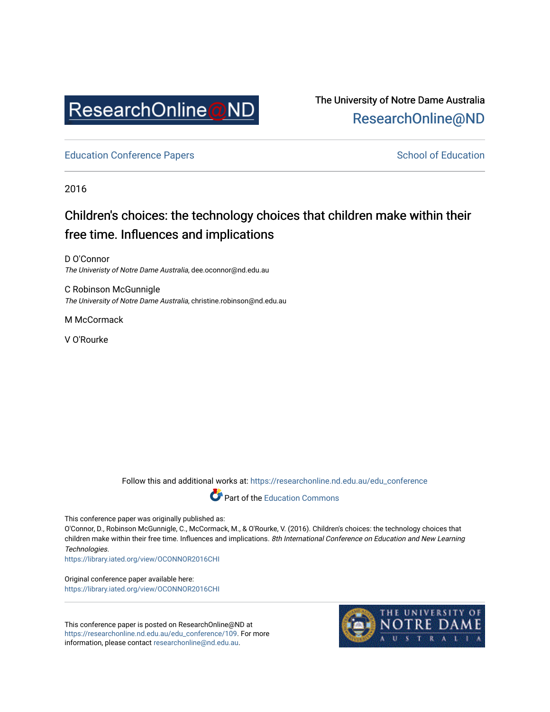

The University of Notre Dame Australia [ResearchOnline@ND](https://researchonline.nd.edu.au/) 

[Education Conference Papers](https://researchonline.nd.edu.au/edu_conference) **School of Education** School of Education

2016

# Children's choices: the technology choices that children make within their free time. Influences and implications

D O'Connor The Univeristy of Notre Dame Australia, dee.oconnor@nd.edu.au

C Robinson McGunnigle The University of Notre Dame Australia, christine.robinson@nd.edu.au

M McCormack

V O'Rourke

Follow this and additional works at: [https://researchonline.nd.edu.au/edu\\_conference](https://researchonline.nd.edu.au/edu_conference?utm_source=researchonline.nd.edu.au%2Fedu_conference%2F109&utm_medium=PDF&utm_campaign=PDFCoverPages)



This conference paper was originally published as:

O'Connor, D., Robinson McGunnigle, C., McCormack, M., & O'Rourke, V. (2016). Children's choices: the technology choices that children make within their free time. Influences and implications. 8th International Conference on Education and New Learning Technologies.

<https://library.iated.org/view/OCONNOR2016CHI>

Original conference paper available here: <https://library.iated.org/view/OCONNOR2016CHI>

This conference paper is posted on ResearchOnline@ND at [https://researchonline.nd.edu.au/edu\\_conference/109](https://researchonline.nd.edu.au/edu_conference/109). For more information, please contact [researchonline@nd.edu.au.](mailto:researchonline@nd.edu.au)

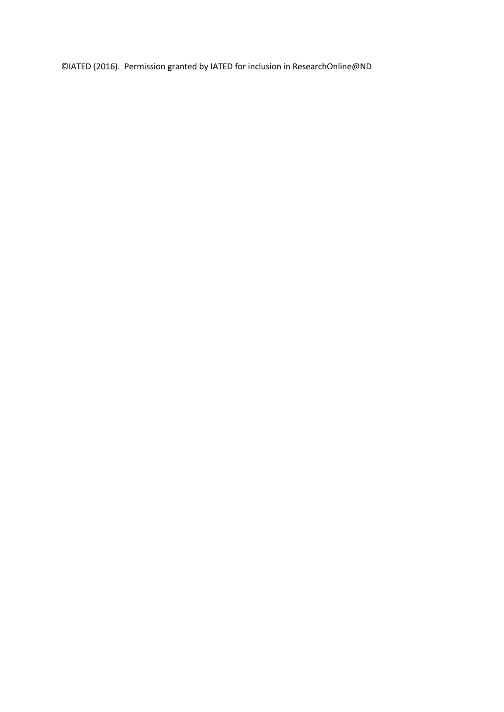©IATED (2016). Permission granted by IATED for inclusion in ResearchOnline@ND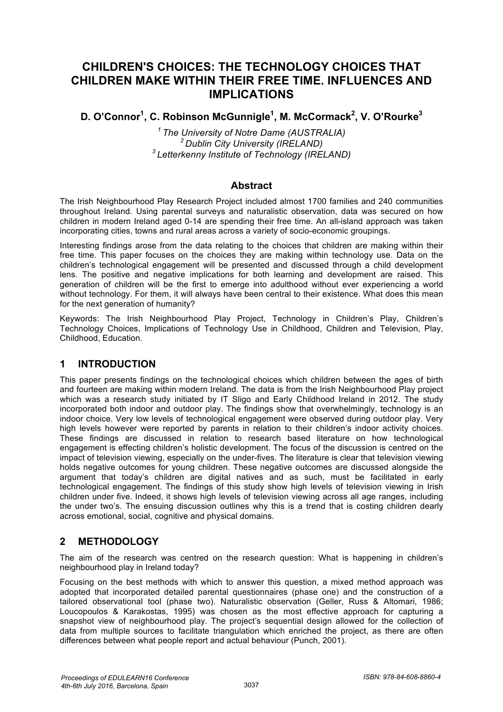# **CHILDREN'S CHOICES: THE TECHNOLOGY CHOICES THAT CHILDREN MAKE WITHIN THEIR FREE TIME. INFLUENCES AND IMPLICATIONS**

# **D. O'Connor<sup>1</sup> , C. Robinson McGunnigle1 , M. McCormack2 , V. O'Rourke<sup>3</sup>**

*1 The University of Notre Dame (AUSTRALIA) 2 Dublin City University (IRELAND) 3 Letterkenny Institute of Technology (IRELAND)* 

#### **Abstract**

The Irish Neighbourhood Play Research Project included almost 1700 families and 240 communities throughout Ireland. Using parental surveys and naturalistic observation, data was secured on how children in modern Ireland aged 0-14 are spending their free time. An all-island approach was taken incorporating cities, towns and rural areas across a variety of socio-economic groupings.

Interesting findings arose from the data relating to the choices that children are making within their free time. This paper focuses on the choices they are making within technology use. Data on the children's technological engagement will be presented and discussed through a child development lens. The positive and negative implications for both learning and development are raised. This generation of children will be the first to emerge into adulthood without ever experiencing a world without technology. For them, it will always have been central to their existence. What does this mean for the next generation of humanity?

Keywords: The Irish Neighbourhood Play Project, Technology in Children's Play, Children's Technology Choices, Implications of Technology Use in Childhood, Children and Television, Play, Childhood, Education.

#### **1 INTRODUCTION**

This paper presents findings on the technological choices which children between the ages of birth and fourteen are making within modern Ireland. The data is from the Irish Neighbourhood Play project which was a research study initiated by IT Sligo and Early Childhood Ireland in 2012. The study incorporated both indoor and outdoor play. The findings show that overwhelmingly, technology is an indoor choice. Very low levels of technological engagement were observed during outdoor play. Very high levels however were reported by parents in relation to their children's indoor activity choices. These findings are discussed in relation to research based literature on how technological engagement is effecting children's holistic development. The focus of the discussion is centred on the impact of television viewing, especially on the under-fives. The literature is clear that television viewing holds negative outcomes for young children. These negative outcomes are discussed alongside the argument that today's children are digital natives and as such, must be facilitated in early technological engagement. The findings of this study show high levels of television viewing in Irish children under five. Indeed, it shows high levels of television viewing across all age ranges, including the under two's. The ensuing discussion outlines why this is a trend that is costing children dearly across emotional, social, cognitive and physical domains.

# **2 METHODOLOGY**

The aim of the research was centred on the research question: What is happening in children's neighbourhood play in Ireland today?

Focusing on the best methods with which to answer this question, a mixed method approach was adopted that incorporated detailed parental questionnaires (phase one) and the construction of a tailored observational tool (phase two). Naturalistic observation (Geller, Russ & Altomari, 1986; Loucopoulos & Karakostas, 1995) was chosen as the most effective approach for capturing a snapshot view of neighbourhood play. The project's sequential design allowed for the collection of data from multiple sources to facilitate triangulation which enriched the project, as there are often differences between what people report and actual behaviour (Punch, 2001).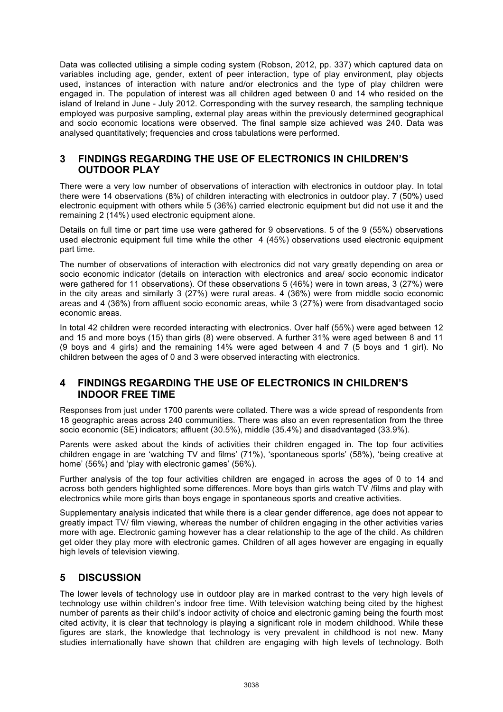Data was collected utilising a simple coding system (Robson, 2012, pp. 337) which captured data on variables including age, gender, extent of peer interaction, type of play environment, play objects used, instances of interaction with nature and/or electronics and the type of play children were engaged in. The population of interest was all children aged between 0 and 14 who resided on the island of Ireland in June - July 2012. Corresponding with the survey research, the sampling technique employed was purposive sampling, external play areas within the previously determined geographical and socio economic locations were observed. The final sample size achieved was 240. Data was analysed quantitatively; frequencies and cross tabulations were performed.

#### **3 FINDINGS REGARDING THE USE OF ELECTRONICS IN CHILDREN'S OUTDOOR PLAY**

There were a very low number of observations of interaction with electronics in outdoor play. In total there were 14 observations (8%) of children interacting with electronics in outdoor play. 7 (50%) used electronic equipment with others while 5 (36%) carried electronic equipment but did not use it and the remaining 2 (14%) used electronic equipment alone.

Details on full time or part time use were gathered for 9 observations. 5 of the 9 (55%) observations used electronic equipment full time while the other 4 (45%) observations used electronic equipment part time.

The number of observations of interaction with electronics did not vary greatly depending on area or socio economic indicator (details on interaction with electronics and area/ socio economic indicator were gathered for 11 observations). Of these observations 5 (46%) were in town areas, 3 (27%) were in the city areas and similarly 3 (27%) were rural areas. 4 (36%) were from middle socio economic areas and 4 (36%) from affluent socio economic areas, while 3 (27%) were from disadvantaged socio economic areas.

In total 42 children were recorded interacting with electronics. Over half (55%) were aged between 12 and 15 and more boys (15) than girls (8) were observed. A further 31% were aged between 8 and 11 (9 boys and 4 girls) and the remaining 14% were aged between 4 and 7 (5 boys and 1 girl). No children between the ages of 0 and 3 were observed interacting with electronics.

#### **4 FINDINGS REGARDING THE USE OF ELECTRONICS IN CHILDREN'S INDOOR FREE TIME**

Responses from just under 1700 parents were collated. There was a wide spread of respondents from 18 geographic areas across 240 communities. There was also an even representation from the three socio economic (SE) indicators; affluent (30.5%), middle (35.4%) and disadvantaged (33.9%).

Parents were asked about the kinds of activities their children engaged in. The top four activities children engage in are 'watching TV and films' (71%), 'spontaneous sports' (58%), 'being creative at home' (56%) and 'play with electronic games' (56%).

Further analysis of the top four activities children are engaged in across the ages of 0 to 14 and across both genders highlighted some differences. More boys than girls watch TV /films and play with electronics while more girls than boys engage in spontaneous sports and creative activities.

Supplementary analysis indicated that while there is a clear gender difference, age does not appear to greatly impact TV/ film viewing, whereas the number of children engaging in the other activities varies more with age. Electronic gaming however has a clear relationship to the age of the child. As children get older they play more with electronic games. Children of all ages however are engaging in equally high levels of television viewing.

#### **5 DISCUSSION**

The lower levels of technology use in outdoor play are in marked contrast to the very high levels of technology use within children's indoor free time. With television watching being cited by the highest number of parents as their child's indoor activity of choice and electronic gaming being the fourth most cited activity, it is clear that technology is playing a significant role in modern childhood. While these figures are stark, the knowledge that technology is very prevalent in childhood is not new. Many studies internationally have shown that children are engaging with high levels of technology. Both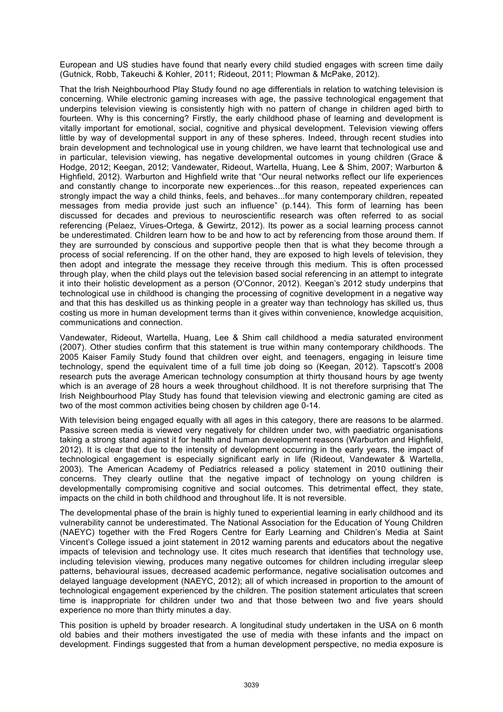European and US studies have found that nearly every child studied engages with screen time daily (Gutnick, Robb, Takeuchi & Kohler, 2011; Rideout, 2011; Plowman & McPake, 2012).

That the Irish Neighbourhood Play Study found no age differentials in relation to watching television is concerning. While electronic gaming increases with age, the passive technological engagement that underpins television viewing is consistently high with no pattern of change in children aged birth to fourteen. Why is this concerning? Firstly, the early childhood phase of learning and development is vitally important for emotional, social, cognitive and physical development. Television viewing offers little by way of developmental support in any of these spheres. Indeed, through recent studies into brain development and technological use in young children, we have learnt that technological use and in particular, television viewing, has negative developmental outcomes in young children (Grace & Hodge, 2012; Keegan, 2012; Vandewater, Rideout, Wartella, Huang, Lee & Shim, 2007; Warburton & Highfield, 2012). Warburton and Highfield write that "Our neural networks reflect our life experiences and constantly change to incorporate new experiences...for this reason, repeated experiences can strongly impact the way a child thinks, feels, and behaves...for many contemporary children, repeated messages from media provide just such an influence" (p.144). This form of learning has been discussed for decades and previous to neuroscientific research was often referred to as social referencing (Pelaez, Virues-Ortega, & Gewirtz, 2012). Its power as a social learning process cannot be underestimated. Children learn how to be and how to act by referencing from those around them. If they are surrounded by conscious and supportive people then that is what they become through a process of social referencing. If on the other hand, they are exposed to high levels of television, they then adopt and integrate the message they receive through this medium. This is often processed through play, when the child plays out the television based social referencing in an attempt to integrate it into their holistic development as a person (O'Connor, 2012). Keegan's 2012 study underpins that technological use in childhood is changing the processing of cognitive development in a negative way and that this has deskilled us as thinking people in a greater way than technology has skilled us, thus costing us more in human development terms than it gives within convenience, knowledge acquisition, communications and connection.

Vandewater, Rideout, Wartella, Huang, Lee & Shim call childhood a media saturated environment (2007). Other studies confirm that this statement is true within many contemporary childhoods. The 2005 Kaiser Family Study found that children over eight, and teenagers, engaging in leisure time technology, spend the equivalent time of a full time job doing so (Keegan, 2012). Tapscott's 2008 research puts the average American technology consumption at thirty thousand hours by age twenty which is an average of 28 hours a week throughout childhood. It is not therefore surprising that The Irish Neighbourhood Play Study has found that television viewing and electronic gaming are cited as two of the most common activities being chosen by children age 0-14.

With television being engaged equally with all ages in this category, there are reasons to be alarmed. Passive screen media is viewed very negatively for children under two, with paediatric organisations taking a strong stand against it for health and human development reasons (Warburton and Highfield, 2012). It is clear that due to the intensity of development occurring in the early years, the impact of technological engagement is especially significant early in life (Rideout, Vandewater & Wartella, 2003). The American Academy of Pediatrics released a policy statement in 2010 outlining their concerns. They clearly outline that the negative impact of technology on young children is developmentally compromising cognitive and social outcomes. This detrimental effect, they state, impacts on the child in both childhood and throughout life. It is not reversible.

The developmental phase of the brain is highly tuned to experiential learning in early childhood and its vulnerability cannot be underestimated. The National Association for the Education of Young Children (NAEYC) together with the Fred Rogers Centre for Early Learning and Children's Media at Saint Vincent's College issued a joint statement in 2012 warning parents and educators about the negative impacts of television and technology use. It cites much research that identifies that technology use, including television viewing, produces many negative outcomes for children including irregular sleep patterns, behavioural issues, decreased academic performance, negative socialisation outcomes and delayed language development (NAEYC, 2012); all of which increased in proportion to the amount of technological engagement experienced by the children. The position statement articulates that screen time is inappropriate for children under two and that those between two and five years should experience no more than thirty minutes a day.

This position is upheld by broader research. A longitudinal study undertaken in the USA on 6 month old babies and their mothers investigated the use of media with these infants and the impact on development. Findings suggested that from a human development perspective, no media exposure is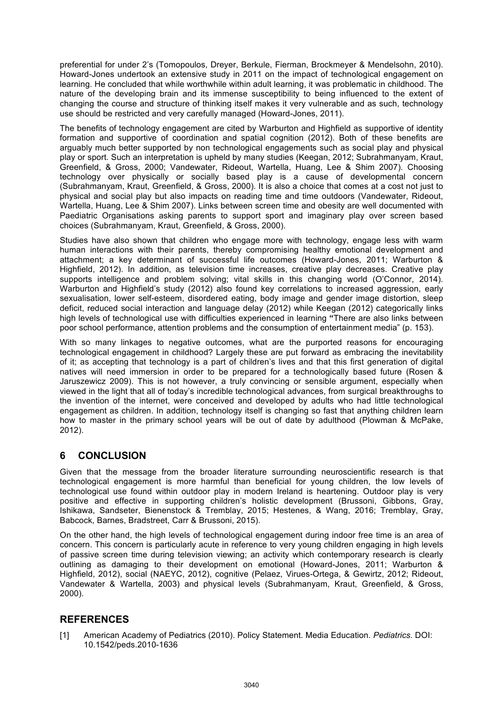preferential for under 2's (Tomopoulos, Dreyer, Berkule, Fierman, Brockmeyer & Mendelsohn, 2010). Howard-Jones undertook an extensive study in 2011 on the impact of technological engagement on learning. He concluded that while worthwhile within adult learning, it was problematic in childhood. The nature of the developing brain and its immense susceptibility to being influenced to the extent of changing the course and structure of thinking itself makes it very vulnerable and as such, technology use should be restricted and very carefully managed (Howard-Jones, 2011).

The benefits of technology engagement are cited by Warburton and Highfield as supportive of identity formation and supportive of coordination and spatial cognition (2012). Both of these benefits are arguably much better supported by non technological engagements such as social play and physical play or sport. Such an interpretation is upheld by many studies (Keegan, 2012; Subrahmanyam, Kraut, Greenfield, & Gross, 2000; Vandewater, Rideout, Wartella, Huang, Lee & Shim 2007). Choosing technology over physically or socially based play is a cause of developmental concern (Subrahmanyam, Kraut, Greenfield, & Gross, 2000). It is also a choice that comes at a cost not just to physical and social play but also impacts on reading time and time outdoors (Vandewater, Rideout, Wartella, Huang, Lee & Shim 2007). Links between screen time and obesity are well documented with Paediatric Organisations asking parents to support sport and imaginary play over screen based choices (Subrahmanyam, Kraut, Greenfield, & Gross, 2000).

Studies have also shown that children who engage more with technology, engage less with warm human interactions with their parents, thereby compromising healthy emotional development and attachment; a key determinant of successful life outcomes (Howard-Jones, 2011; Warburton & Highfield, 2012). In addition, as television time increases, creative play decreases. Creative play supports intelligence and problem solving; vital skills in this changing world (O'Connor, 2014). Warburton and Highfield's study (2012) also found key correlations to increased aggression, early sexualisation, lower self-esteem, disordered eating, body image and gender image distortion, sleep deficit, reduced social interaction and language delay (2012) while Keegan (2012) categorically links high levels of technological use with difficulties experienced in learning **"**There are also links between poor school performance, attention problems and the consumption of entertainment media" (p. 153).

With so many linkages to negative outcomes, what are the purported reasons for encouraging technological engagement in childhood? Largely these are put forward as embracing the inevitability of it; as accepting that technology is a part of children's lives and that this first generation of digital natives will need immersion in order to be prepared for a technologically based future (Rosen & Jaruszewicz 2009). This is not however, a truly convincing or sensible argument, especially when viewed in the light that all of today's incredible technological advances, from surgical breakthroughs to the invention of the internet, were conceived and developed by adults who had little technological engagement as children. In addition, technology itself is changing so fast that anything children learn how to master in the primary school years will be out of date by adulthood (Plowman & McPake, 2012).

#### **6 CONCLUSION**

Given that the message from the broader literature surrounding neuroscientific research is that technological engagement is more harmful than beneficial for young children, the low levels of technological use found within outdoor play in modern Ireland is heartening. Outdoor play is very positive and effective in supporting children's holistic development (Brussoni, Gibbons, Gray, Ishikawa, Sandseter, Bienenstock & Tremblay, 2015; Hestenes, & Wang, 2016; Tremblay, Gray, Babcock, Barnes, Bradstreet, Carr & Brussoni, 2015).

On the other hand, the high levels of technological engagement during indoor free time is an area of concern. This concern is particularly acute in reference to very young children engaging in high levels of passive screen time during television viewing; an activity which contemporary research is clearly outlining as damaging to their development on emotional (Howard-Jones, 2011; Warburton & Highfield, 2012), social (NAEYC, 2012), cognitive (Pelaez, Virues-Ortega, & Gewirtz, 2012; Rideout, Vandewater & Wartella, 2003) and physical levels (Subrahmanyam, Kraut, Greenfield, & Gross, 2000).

# **REFERENCES**

[1] American Academy of Pediatrics (2010). Policy Statement. Media Education. *Pediatrics.* DOI: 10.1542/peds.2010-1636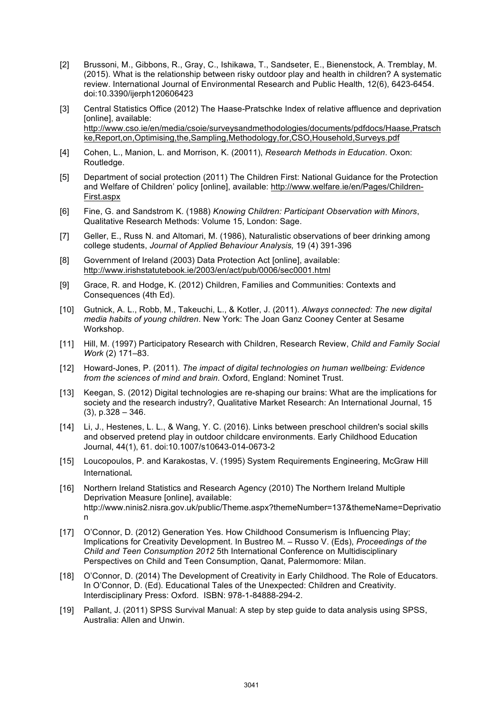- [2] Brussoni, M., Gibbons, R., Gray, C., Ishikawa, T., Sandseter, E., Bienenstock, A. Tremblay, M. (2015). What is the relationship between risky outdoor play and health in children? A systematic review. International Journal of Environmental Research and Public Health, 12(6), 6423-6454. doi:10.3390/ijerph120606423
- [3] Central Statistics Office (2012) The Haase-Pratschke Index of relative affluence and deprivation [online], available: http://www.cso.ie/en/media/csoie/surveysandmethodologies/documents/pdfdocs/Haase,Pratsch ke,Report,on,Optimising,the,Sampling,Methodology,for,CSO,Household,Surveys.pdf
- [4] Cohen, L., Manion, L. and Morrison, K. (20011), *Research Methods in Education*. Oxon: Routledge.
- [5] Department of social protection (2011) The Children First: National Guidance for the Protection and Welfare of Children' policy [online], available: http://www.welfare.ie/en/Pages/Children-First.aspx
- [6] Fine, G. and Sandstrom K. (1988) *Knowing Children: Participant Observation with Minors*, Qualitative Research Methods: Volume 15, London: Sage.
- [7] Geller, E., Russ N. and Altomari, M. (1986), Naturalistic observations of beer drinking among college students, *Journal of Applied Behaviour Analysis,* 19 (4) 391-396
- [8] Government of Ireland (2003) Data Protection Act [online], available: http://www.irishstatutebook.ie/2003/en/act/pub/0006/sec0001.html
- [9] Grace, R. and Hodge, K. (2012) Children, Families and Communities: Contexts and Consequences (4th Ed).
- [10] Gutnick, A. L., Robb, M., Takeuchi, L., & Kotler, J. (2011). *Always connected: The new digital media habits of young children*. New York: The Joan Ganz Cooney Center at Sesame Workshop.
- [11] Hill, M. (1997) Participatory Research with Children, Research Review, *Child and Family Social Work* (2) 171–83.
- [12] Howard-Jones, P. (2011). *The impact of digital technologies on human wellbeing: Evidence from the sciences of mind and brain.* Oxford, England: Nominet Trust.
- [13] Keegan, S. (2012) Digital technologies are re-shaping our brains: What are the implications for society and the research industry?, Qualitative Market Research: An International Journal, 15  $(3)$ , p. 328 – 346.
- [14] Li, J., Hestenes, L. L., & Wang, Y. C. (2016). Links between preschool children's social skills and observed pretend play in outdoor childcare environments. Early Childhood Education Journal, 44(1), 61. doi:10.1007/s10643-014-0673-2
- [15] Loucopoulos, P. and Karakostas, V. (1995) System Requirements Engineering, McGraw Hill International.
- [16] Northern Ireland Statistics and Research Agency (2010) The Northern Ireland Multiple Deprivation Measure [online], available: http://www.ninis2.nisra.gov.uk/public/Theme.aspx?themeNumber=137&themeName=Deprivatio n
- [17] O'Connor, D. (2012) Generation Yes. How Childhood Consumerism is Influencing Play; Implications for Creativity Development. In Bustreo M. – Russo V. (Eds), *Proceedings of the Child and Teen Consumption 2012* 5th International Conference on Multidisciplinary Perspectives on Child and Teen Consumption, Qanat, Palermomore: Milan.
- [18] O'Connor, D. (2014) The Development of Creativity in Early Childhood. The Role of Educators. In O'Connor, D. (Ed). Educational Tales of the Unexpected: Children and Creativity. Interdisciplinary Press: Oxford. ISBN: 978-1-84888-294-2.
- [19] Pallant, J. (2011) SPSS Survival Manual: A step by step quide to data analysis using SPSS, Australia: Allen and Unwin.